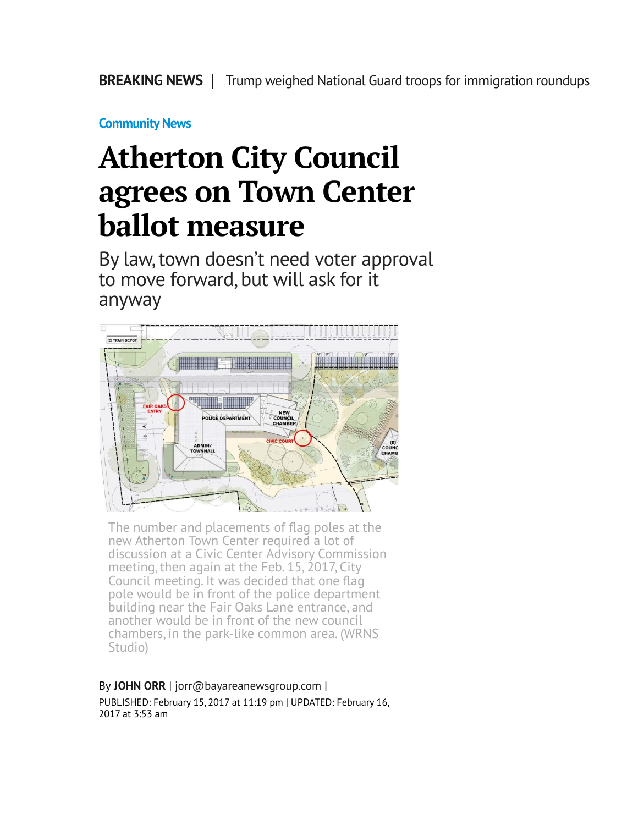**[Community News](http://www.mercurynews.com/community-news/)**

## **Atherton City Council agrees on Town Center ballot measure**

By law, town doesn't need voter approval to move forward, but will ask for it anyway



The number and placements of flag poles at the new Atherton Town Center required a lot of discussion at a Civic Center Advisory Commission meeting, then again at the Feb. 15, 2017, City Council meeting. It was decided that one flag pole would be in front of the police department building near the Fair Oaks Lane entrance, and another would be in front of the new council chambers, in the park-like common area. (WRNS Studio)

## By **[JOHN ORR](http://www.mercurynews.com/author/john-orr/)** | [jorr@bayareanewsgroup.com](mailto:jorr@bayareanewsgroup.com) |

PUBLISHED: February 15, 2017 at 11:19 pm | UPDATED: February 16, 2017 at 3:53 am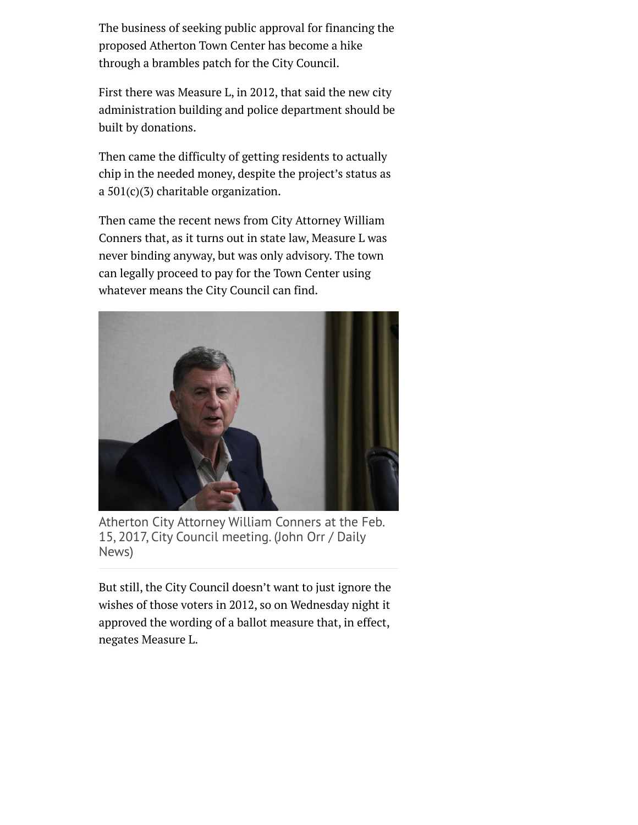The business of seeking public approval for financing the proposed Atherton Town Center has become a hike through a brambles patch for the City Council.

First there was Measure L, in 2012, that said the new city administration building and police department should be built by donations.

Then came the difficulty of getting residents to actually chip in the needed money, despite the project's status as a 501(c)(3) charitable organization.

Then came the recent news from City Attorney William Conners that, as it turns out in state law, Measure L was never binding anyway, but was only advisory. The town can legally proceed to pay for the Town Center using whatever means the City Council can find.



Atherton City Attorney William Conners at the Feb. 15, 2017, City Council meeting. (John Orr / Daily News)

But still, the City Council doesn't want to just ignore the wishes of those voters in 2012, so on Wednesday night it approved the wording of a ballot measure that, in effect, negates Measure L.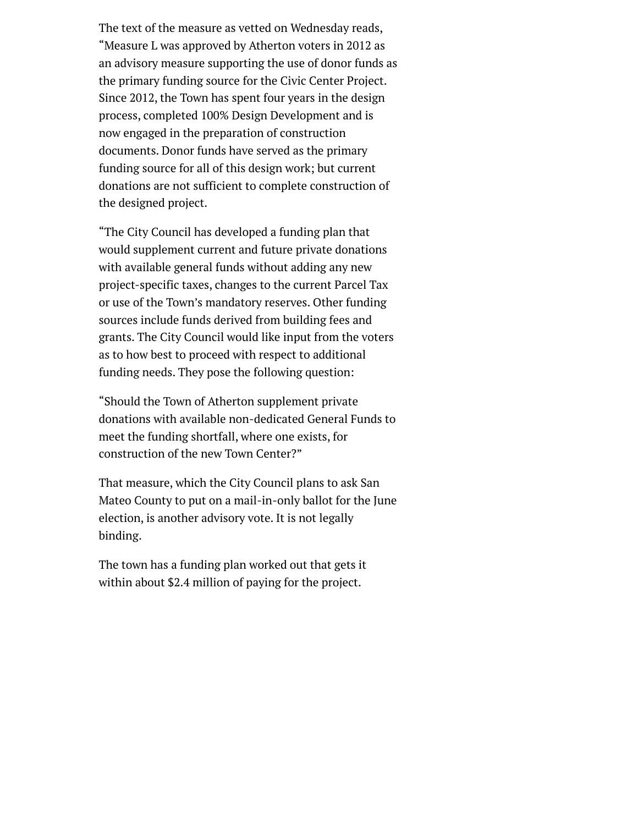The text of the measure as vetted on Wednesday reads, "Measure L was approved by Atherton voters in 2012 as an advisory measure supporting the use of donor funds as the primary funding source for the Civic Center Project. Since 2012, the Town has spent four years in the design process, completed 100% Design Development and is now engaged in the preparation of construction documents. Donor funds have served as the primary funding source for all of this design work; but current donations are not sufficient to complete construction of the designed project.

"The City Council has developed a funding plan that would supplement current and future private donations with available general funds without adding any new project-specific taxes, changes to the current Parcel Tax or use of the Town's mandatory reserves. Other funding sources include funds derived from building fees and grants. The City Council would like input from the voters as to how best to proceed with respect to additional funding needs. They pose the following question:

"Should the Town of Atherton supplement private donations with available non-dedicated General Funds to meet the funding shortfall, where one exists, for construction of the new Town Center?"

That measure, which the City Council plans to ask San Mateo County to put on a mail-in-only ballot for the June election, is another advisory vote. It is not legally binding.

The town has a funding plan worked out that gets it within about \$2.4 million of paying for the project.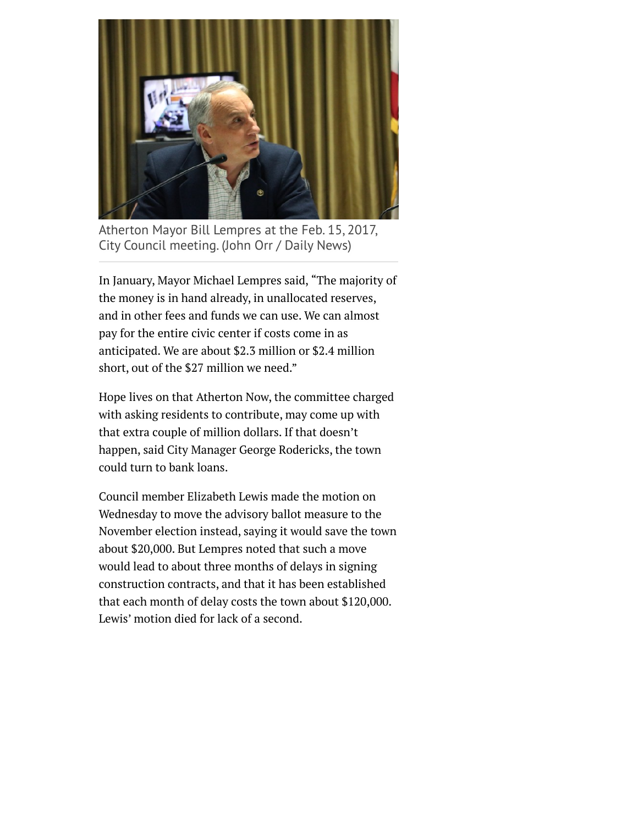

Atherton Mayor Bill Lempres at the Feb. 15, 2017, City Council meeting. (John Orr / Daily News)

In January, Mayor Michael Lempres said, "The majority of the money is in hand already, in unallocated reserves, and in other fees and funds we can use. We can almost pay for the entire civic center if costs come in as anticipated. We are about \$2.3 million or \$2.4 million short, out of the \$27 million we need."

Hope lives on that Atherton Now, the committee charged with asking residents to contribute, may come up with that extra couple of million dollars. If that doesn't happen, said City Manager George Rodericks, the town could turn to bank loans.

Council member Elizabeth Lewis made the motion on Wednesday to move the advisory ballot measure to the November election instead, saying it would save the town about \$20,000. But Lempres noted that such a move would lead to about three months of delays in signing construction contracts, and that it has been established that each month of delay costs the town about \$120,000. Lewis' motion died for lack of a second.